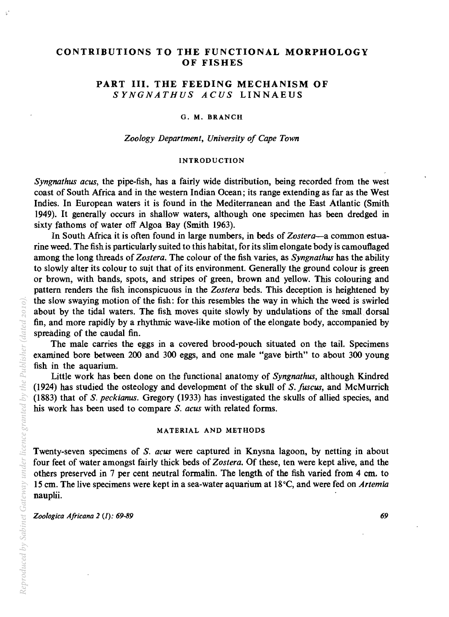# CONTRIBUTIONS TO THE FUNCTIONAL MORPHOLOGY OF FISHES

# PART III. THE FEEDING MECHANISM OF *SYNGNATHUS ACUS* LINNAEUS

#### G. M. BRANCH

## *Zoology Department, University of Cape Town*

#### INTRODUCTION

*Syngnathus acus,* the pipe-fish, has a fairly wide distribution, being recorded from the west coast of South Africa and in the western Indian Ocean; its range extending as far as the West Indies. In European waters it is found in the Mediterranean and the East Atlantic (Smith 1949). It generally occurs in shallow waters, although one specimen has been dredged in sixty fathoms of water off Algoa Bay (Smith 1963).

In South Africa it is often found in large numbers, in beds of *Zostera-a* common estuarine weed. The fish is particularly suited to this habitat, for its slim elongate body is camouflaged among the long threads of *Zostera.* The colour of the fish varies, as *Syngnathus* has the ability to slowly alter its colour to suit that of its environment. Generally the ground colour is green or brown, with bands, spots, and stripes of green, brown and yellow. This colouring and pattern renders the fish inconspicuous in the *Zostera* beds. This deception is heightened by the slow swaying motion of the fish: for this resembles the way in which the weed is swirled about by the tidal waters. The fish moves quite slowly by undulations of the small dorsal fin, and more rapidly by a rhythmic wave-like motion of the elongate body, accompanied by spreading of the caudal fin.

The male carries the eggs in a covered brood-pouch situated on the tail. Specimens examined bore between 200 and 300 eggs, and one male "gave birth" to about 300 young fish in the aquarium.

Little work has been done on the functional anatomy of *Syngnathus,* although Kindred (1924) has studied the osteology and development of the skull of S. *fuscus,* and McMurrich (1883) that of S. *peckianus.* Gregory (1933) has investigated the skulls of allied species, and his work has been used to compare S. *acus* with related forms.

#### MATERIAL AND METHODS

Twenty-seven specimens of S. *acus* were captured in Knysna lagoon, by netting in about four feet of water amongst fairly thick beds of *Zostera.* Of these, ten were kept alive, and the others preserved in 7 per cent neutral formalin. The length of the fish varied from 4 em. to 15 em. The live specimens were kept in a sea-water aquarium at 18°C, and were fed on *Artemia*  nauplii.

*Zoologica Africana 2 (1): 69-89* 69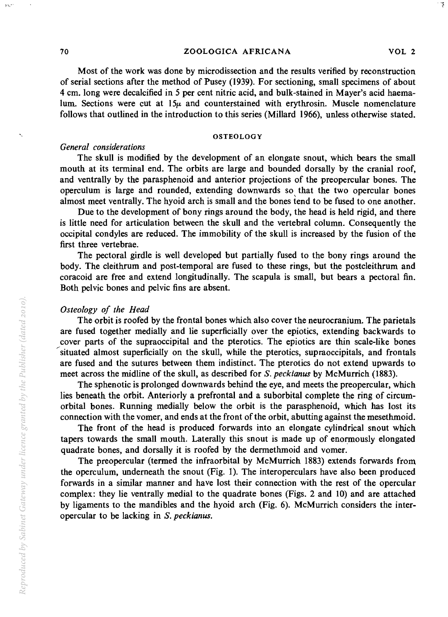70 ZOOLOGICA AFRICANA VOL 2

Most of the work was done by microdissection and the results verified by reconstruction of serial sections after the method of Pusey (1939). For sectioning, small specimens of about 4 cm. long were decalcified in S per cent nitric acid, and bulk-stained in Mayer's acid haemalum. Sections were cut at  $15\mu$  and counterstained with erythrosin. Muscle nomenclature follows that outlined in the introduction to this series (Millard 1966), unless otherwise stated.

### **OSTEOLOGY**

### *General considerations*

The skull is modified by the development of an elongate snout, which bears the small mouth at its terminal end. The orbits are large and bounded dorsally by the cranial roof, and ventrally by the parasphenoid and anterior projections of the preopercular bones. The operculum is large and rounded, extending downwards so that the two opercular bones almost meet ventrally. The hyoid arch is small and the bones tend to be fused to one another.

Due to the development of bony rings around the body, the head is held rigid, and there is little need for articulation between the skull and the vertebral column. Consequently the occipital condyles are reduced. The immobility of the skull is increased by the fusion of the first three vertebrae.

The pectoral girdle is well developed but partially fused to the bony rings around the body. The cleithrum and post-temporal are fused to these rings, but the postcleithrum and coracoid are free and extend longitudinally. The scapula is small, but bears a pectoral fin. Both pelvic bones and pelvic fins are absent.

# *Osteology of the Head*

Reproduced by Sabinet Gateway under licence granted by the Publisher (dated 2010). *Reproduced by Sabinet Gateway under licence granted by the Publisher (dated 2010).*

The orbit is roofed by the frontal bones which also cover the neurocranium. The parietals are fused together medially and lie superficially over the epiotics, extending backwards to cover parts of the supraoccipital and the pterotics. The epiotics are thin scale-like bones situated almost superficially on the skull, while the pterotics, supraoccipitals, and frontals are fused and the sutures between them indistinct. The pterotics do not extend upwards to meet across the midline of the skull, as described for S. *peckianus* by McMurrich (1883).

The sphenotic is prolonged downwards behind the eye, and meets the preopercular, which lies beneath the orbit. Anteriorly a prefrontal and a suborbital complete the ring of circumorbital bones. Running medially below the orbit is the parasphenoid, which has lost its connection with the vomer, and ends at the front of the orbit, abutting against the mesethmoid.

The front of the head is produced forwards into an elongate cylindrical snout which tapers towards the small mouth. Laterally this snout is made up of enormously elongated quadrate bones, and dorsally it is roofed by the dermethmoid and vomer.

The preopercular (termed the infraorbital by McMurrich 1883) extends forwards from the operculum, underneath the snout (Fig. 1). The interoperculars have also been produced forwards in a similar manner and have lost their connection with the rest of the opercular complex: they lie ventrally medial to the quadrate bones (Figs. 2 and 10) and are attached by ligaments to the mandibles and the hyoid arch (Fig. 6). McMurrich considers the interopercular to be lacking in S. *peckianus.*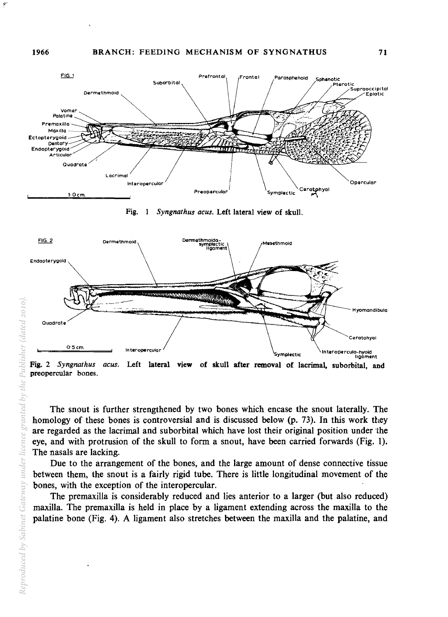

Fig. *Syngnathus acus.* Left lateral view of skull.



Fig. 2 *Syngnathus acus.* Left lateral view of skull after removal of lacrimal, suborbital, and preopercular bones.

The snout is further strengthened by two bones which encase the snout laterally. The homology of these bones is controversial and is discussed below (p. 73). In this work they are regarded as the lacrimal and suborbital which have lost their original position under the eye, and with protrusion of the skull to form a snout, have been carried forwards (Fig. 1). The nasals are lacking.

Due to the arrangement of the bones, and the large amount of dense connective tissue between them, the snout is a fairly rigid tube. There is little longitudinal movement of the bones, with the exception of the interopercular.

The premaxilla is considerably reduced and lies anterior to a larger (but also reduced) maxilla. The premaxilla is held in place by a ligament extending across the maxilla to the palatine bone (Fig. 4). A ligament also stretches between the maxilla and the palatine, and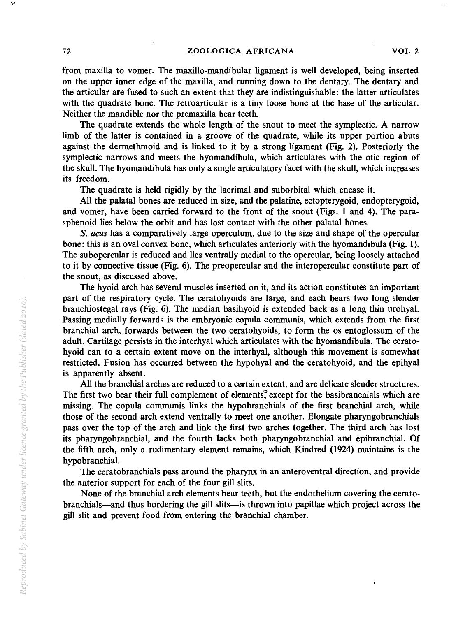from maxilla to vomer. The maxillo-mandibular ligament is well developed, being inserted on the upper inner edge of the maxilla, and running down to the dentary. The dentary and the articular are fused to such an extent that they are indistinguishable: the latter articulates with the quadrate bone. The retroarticular is a tiny loose bone at the base of the articular. Neither the mandible nor the premaxilla bear teeth.

The quadrate extends the whole length of the snout to meet the symplectic. A narrow limb of the latter is contained in a groove of the quadrate, while its upper portion abuts against the dermethmoid and is linked to it by a strong ligament (Fig. 2). Posteriorly the symplectic narrows and meets the hyomandibula, which articulates with the otic region of the skull. The hyomandibula has only a single articulatory facet with the skull, which increases its freedom.

The quadrate is held rigidly by the lacrimal and suborbital which encase it.

All the palatal bones are reduced in size, and the palatine, ectopterygoid, endopterygoid, and vomer, have been carried forward to the front of the snout (Figs. 1 and 4). The parasphenoid lies below the orbit and has lost contact with the other palatal bones.

S. *acus* has a comparatively large operculum, due to the size and shape of the opercular bone: this is an oval convex bone, which articulates anteriorly with the hyomandibula (Fig. 1). The subopercular is reduced and lies ventrally medial to the opercular, being loosely attached to it by connective tissue (Fig. 6). The preopercular and the interopercular constitute part of the snout, as discussed above.

The hyoid arch has several muscles inserted on it, and its action constitutes an important part of the respiratory cycle. The ceratohyoids are large, and each bears two long slender branchiostegal rays (Fig. 6). The median basihyoid is extended back as a long thin urohyal. Passing medially forwards is the embryonic copula communis, which extends from the first branchial arch, forwards between the two ceratohyoids, to form the os entoglossum of the adult. Cartilage persists in the interhyal which articulates with the hyomandibula. The ceratohyoid can to a certain extent move on the interhyal, although this movement is somewhat restricted. Fusion has occurred between the hypohyal and the ceratohyoid, and the epihyal is apparently absent.

All the branchial arches are reduced to a certain extent, and are delicate slender structures. The first two bear their full complement of elements, except for the basibranchials which are missing. The copula communis links the hypobranchials of the first branchial arch, while those of the second arch extend ventrally to meet one another. Elongate pharyngobranchials pass over the top of the arch and link the first two arches together. The third arch has lost its pharyngobranchial, and the fourth lacks both pharyngobranchial and epibranchial. Of the fifth arch, only a rudimentary element remains, which Kindred (1924) maintains is the hypobranchial.

The ceratobranchials pass around the pharynx in an anteroventral direction, and provide the anterior support for each of the four gill slits.

None of the branchial arch elements bear teeth, but the endothelium covering the ceratobranchials-and thus bordering the gill slits-is thrown into papillae which project across the gill slit and prevent food from entering the branchial chamber.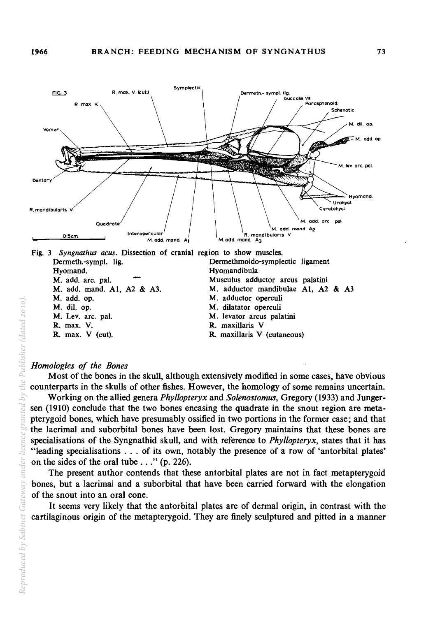

#### *Homologies of the Bones*

Most of the bones in the skull, although extensively modified in some cases, have obvious counterparts in the skulls of other fishes. However, the homology of some remains uncertain.

Working on the allied genera *Phyllopteryx* and *Solenostomus,* Gregory (1933) and Jungersen (1910) conclude that the two bones encasing the quadrate in the snout legion are metapterygoid bones, which have presumably ossified in two portions in the former case; and that the lacrimal and suborbital bones have been lost. Gregory maintains that these bones are specialisations of the Syngnathid skull, and with reference to *Phyllopteryx,* states that it has "leading specialisations ... of its own, notably the presence of a row of 'antorbital plates' on the sides of the oral tube ... " (p. 226).

The present author contends that these antorbital plates are not in fact metapterygoid bones, but a lacrimal and a suborbital that have been carried forward with the elongation of the snout into an oral cone.

It seems very likely that the antorbital plates are of dermal origin, in contrast with the cartilaginous origin of the metapterygoid. They are finely sculptured and pitted in a manner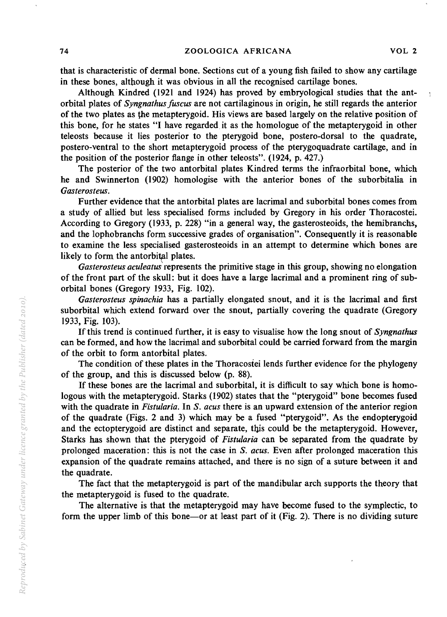that is characteristic of dermal bone. Sections cut of a young fish failed to show any cartilage in these bones, although it was obvious in all the recognised cartilage bones.

Although Kindred (1921 and 1924) has proved by embryological studies that the antorbital plates of *Syngnathus fuscus* are not cartilaginous in origin, he still regards the anterior of the two plates as the metapterygoid. His views are based largely on the relative position of this bone, for he states "I have regarded it as the homologue of the metapterygoid in other teleosts because it lies posterior to the pterygoid bone, postero-dorsal to the quadrate, postero-ventral to the short metapterygoid process of the pterygoquadrate cartilage, and in the position of the posterior flange in other teleosts". (1924, p. 427.)

The posterior of the two antorbital plates Kindred terms the infraorbital bone, which he and Swinnerton (1902) homologise with the anterior bones of the suborbitalia in *Gasterosteus.* 

Further evidence that the ant orbital plates are lacrimal and suborbital bones comes from a study of allied but less specialised forms included by Gregory in his order Thoracostei. According to Gregory (1933, p. 228) "in a general way, the gasterosteoids, the hemibranchs, and the lophobranchs form successive grades of organisation". Consequently it is reasonable to examine the less specialised gasterosteoids in an attempt to determine which bones are likely to form the antorbital plates.

*Gasterosteus aculeatus* represents the primitive stage in this group, showing no elongation of the front part of the skull: but it does have a large lacrimal and a prominent ring of suborbital bones (Gregory 1933, Fig. 102).

*Gasterosteus spinachia* has a partially elongated snout, and it is the lacrimal and first suborbital which extend forward over the snout, partially covering the quadrate (Gregory 1933, Fig. 103).

If this trend is continued further, it is easy to visualise how the long snout of *Syngnathus*  can be formed, and how the lacrimal and suborbital could be carried forward from the margin of the orbit to form antorbital plates.

The condition of these plates in the Thoracostei lends further evidence for the phylogeny of the group, and this is discussed below (p. 88).

If these bones are the lacrimal and suborbital, it is difficult to say which bone is homologous with the metapterygoid. Starks (1902) states that the "pterygoid" bone becomes fused with the quadrate in *Fistularia.* In S. *acus* there is an upward extension of the anterior region of the quadrate (Figs. 2 and 3) which may be a fused "pterygoid". As the endopterygoid and the ectopterygoid are distinct and separate, this could be the metapterygoid. However, Starks has shown that the pterygoid of *Fistularia* can be separated from the quadrate by prolonged maceration: this is not the case in S. *acus.* Even after prolonged maceration this expansion of the quadrate remains attached, and there is no sign of a suture between it and the quadrate.

The fact that the metapterygoid is part of the mandibular arch supports the theory that the metaptery goid is fused to the quadrate.

The alternative is that the metapterygoid may have become fused to the symplectic, to form the upper limb of this bone-or at least part of it (Fig. 2). There is no dividing suture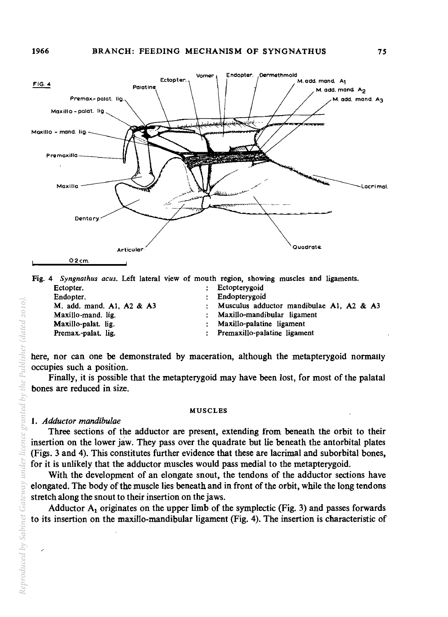

Fig. 4 *Syngnathus acus.* Left lateral view of mouth region, showing muscles and ligaments. Ectopter. Ectopterygoid Endopter. Endopterygoid

| Luvuu.                    | <b>EUGOPICI IRUM</b>                     |
|---------------------------|------------------------------------------|
| M. add. mand. A1, A2 & A3 | Musculus adductor mandibulae A1, A2 & A3 |
| Maxillo-mand. lig.        | Maxillo-mandibular ligament              |
| Maxillo-palat. lig.       | Maxillo-palatine ligament                |
| Premax.-palat. lig.       | Premaxillo-palatine ligament             |
|                           |                                          |

here, nor can one be demonstrated by maceration, although the metapterygoid normally occupies such a position.

Finally, it is possible that the metapterygoid may have been lost, for most of the palatal bones are reduced in size.

#### MUSCLES

### *1. Adductor mandibulae*

Three sections of the adductor are present, extending from beneath the orbit to their insertion on the lower jaw. They pass over the quadrate but lie beneath the ant orbital plates (Figs. 3 and 4). This constitutes further evidence that these are lacrimal and suborbital bones, for it is unlikely that the adductor muscles would pass medial to the metapterygoid.

With the development of an elongate snout, the tendons of the adductor sections have elongated. The body of the muscle lies beneath and in front of the orbit, while the long tendons stretch along the snout to their insertion on the jaws.

Adductor  $A_1$  originates on the upper limb of the symplectic (Fig. 3) and passes forwards to its insertion on the maxillo-mandibular ligament (Fig. 4). The insertion is characteristic of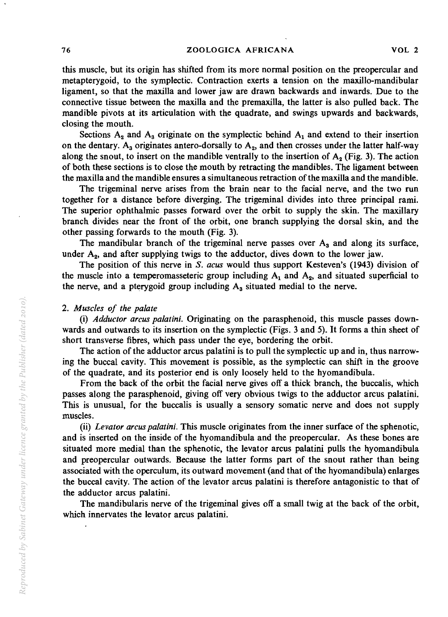this muscle, but its origin has shifted from its more normal position on the preopercular and metapterygoid, to the symplectic. Contraction exerts a tension on the maxillo-mandibular ligament, so that the maxilla and lower jaw are drawn backwards and inwards. Due to the connective tissue between the maxilla and the premaxilla, the latter is also pulled back. The mandible pivots at its articulation with the quadrate, and swings upwards and backwards, closing the mouth.

Sections  $A_2$  and  $A_3$  originate on the symplectic behind  $A_1$  and extend to their insertion on the dentary. A<sub>3</sub> originates antero-dorsally to  $A_2$ , and then crosses under the latter half-way along the snout, to insert on the mandible ventrally to the insertion of  $A<sub>2</sub>$  (Fig. 3). The action of both these sections is to close the mouth by retracting the mandibles. The ligament between the maxilla and the mandible ensures a simultaneous retraction of the maxilla and the mandible.

The trigeminal nerve arises from the brain near to the facial nerve, and the two run together for a distance before diverging. The trigeminal divides into three principal rami. The superior ophthalmic passes forward over the orbit to supply the skin. The maxillary branch divides near the front of the orbit, one branch supplying the dorsal skin, and the other passing forwards to the mouth (Fig. 3).

The mandibular branch of the trigeminal nerve passes over  $A_3$  and along its surface, under  $A_2$ , and after supplying twigs to the adductor, dives down to the lower jaw.

The position of this nerve in S. *acus* would thus support Kesteven's (1943) division of the muscle into a temperomasseteric group including  $A_1$  and  $A_2$ , and situated superficial to the nerve, and a pterygoid group including  $A_3$  situated medial to the nerve.

### *2. Muscles of the palate*

(i) *Adductor arcus palatini.* Originating on the parasphenoid, this muscle passes downwards and outwards to its insertion on the symplectic (Figs. 3 and 5). It forms a thin sheet of short transverse fibres, which pass under the eye, bordering the orbit.

The action of the adductor arcus palatini is to pull the symplectic up and in, thus narrowing the buccal cavity. This movement is possible, as the symplectic can shift in the groove of the quadrate, and its posterior end is only loosely held to the hyomandibula.

From the back of the orbit the facial nerve gives off a thick branch, the buccalis, which passes along the parasphenoid, giving off very obvious twigs to the adductor arcus palatini. This is unusual, for the buccalis is usually a sensory somatic nerve and does not supply muscles.

(ii) *Levator arcus palatini.* This muscle originates from the inner surface of the sphenotic, and is inserted on the inside of the hyomandibula and the preopercular. As these bones are situated more medial than the sphenotic, the levator arcus palatini pulls the hyomandibula and preopercular outwards. Because the latter forms part of the snout rather than being associated with the operculum, its outward movement (and that of the hyomandibula) enlarges the buccal cavity. The action of the levator arcus palatini is therefore antagonistic to that of the adductor arcus palatini.

The mandibularis nerve of the trigeminal gives off a small twig at the back of the orbit, which innervates the levator arcus palatini.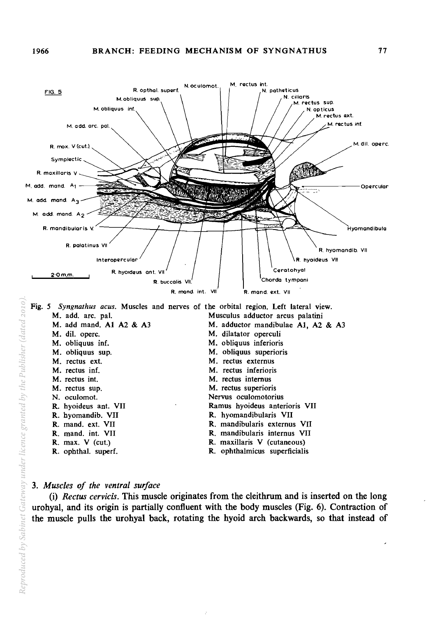

## *3. Muscles of the ventral surface*

(i) *Rectus cervicis.* This muscle originates from the cleithrum and is inserted on the long urohyal, and its origin is partially confluent with the body muscles (Fig. 6). Contraction of the muscle pulls the urohyal back, rotating the hyoid arch backwards, so that instead of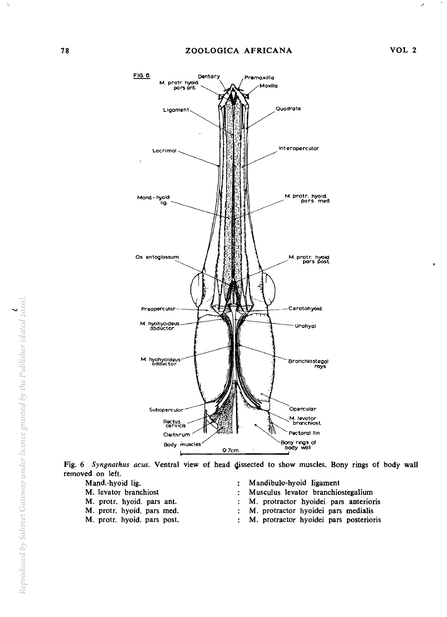

Fig. 6 Syngnathus acus. Ventral view of head dissected to show muscles. Bony rings of body wall removed on left.

Mand.-hyoid lig.

- M. levator branchiost
- M. protr. hyoid. pars ant.
- M. protr. hyoid. pars med. M. protr. hyoid. pars post.
	-
- Mandibulo-hyoid ligament  $\ddot{\cdot}$
- Musculus levator branchiostegalium  $\ddot{\cdot}$
- M. protractor hyoidei pars anterioris  $\ddot{\bullet}$
- $\mathcal{L}$ M. protractor hyoidei pars medialis
- $\ddot{\Sigma}$ M. protractor hyoidei pars posterioris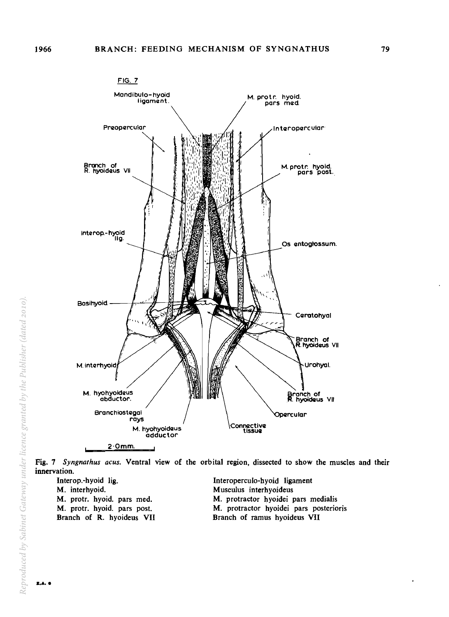

Fig. 7 *Syngnathus acus.* Ventral view of the orbital region, dissected to show the muscles and their innervation.

Interop.-hyoid lig. M. interhyoid. M. protr. hyoid. pars med. M. protr. hyoid. pars post. Branch of R. hyoideus VII

Interoperculo-hyoid ligament Musculus interhyoideus M. protractor hyoidei pars medialis M. protractor hyoidei pars posterioris Branch of ramus hyoideus VII

**a.A .•**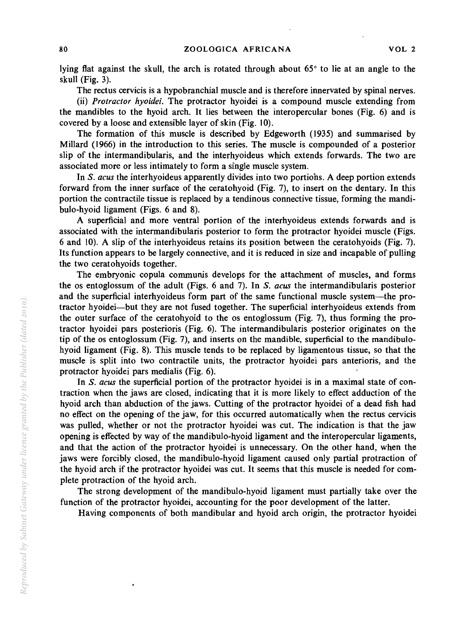lying flat against the skull, the arch is rotated through about 65° to lie at an angle to the skull (Fig. 3).

The rectus cervicis is a hypobranchial muscle and is therefore innervated by spinal nerves.

(ii) *Protractor hyoidei.* The protractor hyoidei is a compound muscle extending from the mandibles to the hyoid arch. It lies between the interopercular bones (Fig. 6) and is covered by a loose and extensible layer of skin (Fig. 10).

The formation of this muscle is described by Edgeworth (1935) and summarised by Millard (1966) in the introduction to this series. The muscle is compounded of a posterior slip of the intermandibularis, and the interhyoideus which extends forwards. The two are associated more or less intimately to form a single muscle system.

In S. *acus* the interhyoideus apparently divides into two portions. A deep portion extends forward from the inner surface of the ceratohyoid (Fig. 7), to insert on the dentary. In this portion the contractile tissue is replaced by a tendinous connective tissue, forming the mandibulo-hyoid ligament (Figs. 6 and 8).

A superficial and more ventral portion of the interhyoideus extends forwards and is associated with the intermandibularis posterior to form the protractor hyoidei muscle (Figs. 6 and 10). A slip of the interhyoideus retains its position between the ceratohyoids (Fig. 7). Its function appears to be largely connective, and it is reduced in size and incapable of pulling the two ceratohyoids together.

The embryonic copula communis develops for the attachment of muscles, and forms the os entoglossum of the adult (Figs. 6 and 7). In S. *acus* the intermandibularis posterior and the superficial interhyoideus form part of the same functional muscle system-the protractor hyoidei-but they are not fused together. The superficial interhyoideus extends from the outer surface of the ceratohyoid to the os entoglossum (Fig. 7), thus forming the protractor hyoidei pars posterioris (Fig. 6). The intermandibularis posterior originates on the tip of the os entoglossum (Fig. 7), and inserts on the mandible, superficial to the mandibulohyoid ligament (Fig. 8). This muscle tends to be replaced by ligamentous tissue, so that the muscle is split into two contractile units, the protractor hyoidei pars anterioris, and the protractor hyoidei pars medialis (Fig. 6).

In S. *acus* the superficial portion of the protractor hyoidei is in a maximal state of contraction when the jaws are closed, indicating that it is more likely to effect adduction of the hyoid arch than abduction of the jaws. Cutting of the protractor hyoidei of a dead fish had no effect on the opening of the jaw, for this occurred automatically when the rectus cervicis was pulled, whether or not the protractor hyoidei was cut. The indication is that the jaw opening is effected by way of the mandibulo-hyoid ligament and the interopercular ligaments, and that the action of the protractor hyoidei is unnecessary. On the other hand, when the jaws were forcibly closed, the mandibulo-hyoid ligament caused only partial protraction of the hyoid arch if the protractor hyoidei was cut. It seems that this muscle is needed for complete protraction of the hyoid arch.

The strong development of the mandibulo-hyoid ligament must partially take over the function of the protractor hyoidei, accounting for the poor development of the latter.

Having components of both mandibular and hyoid arch origin, the protractor hyoidei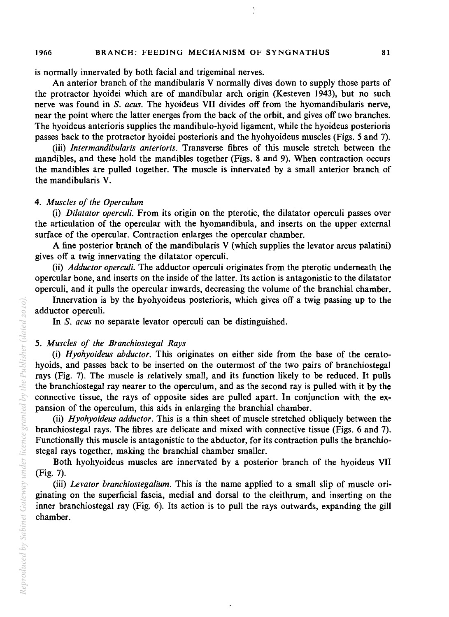is normally innervated by both facial and trigeminal nerves.

An anterior branch of the mandibularis V normally dives down to supply those parts of the protractor hyoidei which are of mandibular arch origin (Kesteven 1943), but no such nerve was found in S. *acus.* The hyoideus VII divides off from the hyomandibularis nerve, near the point where the latter energes from the back of the orbit, and gives off two branches. The hyoideus anterioris supplies the mandibulo-hyoid ligament, while the hyoideus posterioris passes back to the protractor hyoidei posterioris and the hyohyoideus muscles (Figs. 5 and 7).

(iii) *Intermandibularis anterioris.* Transverse fibres of this muscle stretch between the mandibles, and these hold the mandibles together (Figs. 8 and 9). When contraction occurs the mandibles are pulled together. The muscle is innervated by a small anterior branch of the mandibularis V.

## *4. Muscles of the Operculum*

(i) *Dilatator operculi.* From its origin on the pterotic, the dilatator operculi passes over the articulation of the opercular with the hyomandibula, and inserts on the upper external surface of the opercular. Contraction enlarges the opercular chamber.

A fine posterior branch of the mandibularis V (which supplies the levator arcus palatini) gives off a twig innervating the dilatator operculi.

(ii) *Adductor operculi.* The adductor operculi originates from the pterotic underneath the opercular bone, and inserts on the inside of the latter. Its action is antagonistic to the dilatator operculi, and it pulls the opercular inwards, decreasing the volume of the branchial chamber.

Innervation is by the hyohyoideus posterioris, which gives off a twig passing up to the adductor operculi.

In S. *acus* no separate levator operculi can be distinguished.

## *5. Muscles of the Branchiostegal Rays*

(i) *Hyohyoideus abductor.* This originates on either side from the base of the ceratohyoids, and passes back to be inserted on the outermost of the two pairs of branchiostegal rays (Fig. 7). The muscle is relatively small, and its function likely to be reduced. It pulls the branchiostegal ray nearer to the operculum, and as the second ray is pulled with it by the connective tissue, the rays of opposite sides are pulled apart. In conjunction with the expansion of the operculum, this aids in enlarging the branchial chamber.

(ii) *Hyohyoideus adductor.* This is a thin sheet of muscle stretched obliquely between the branchiostegal rays. The fibres are delicate and mixed with connective tissue (Figs. 6 and 7). Functionally this muscle is antagonistic to the abductor, for its contraction pulls the branchiostegal rays together, making the branchial chamber smaller.

Both hyohyoideus muscles are innervated by a posterior branch of the hyoideus VII (Fig. 7).

(iii) *Levator branchiostegalium.* This is the name applied to a small slip of muscle originating on the superficial fascia, medial and dorsal to the cleithrum, and inserting on the inner branchiostegal ray (Fig. 6). Its action is to pull the rays outwards, expanding the gill chamber.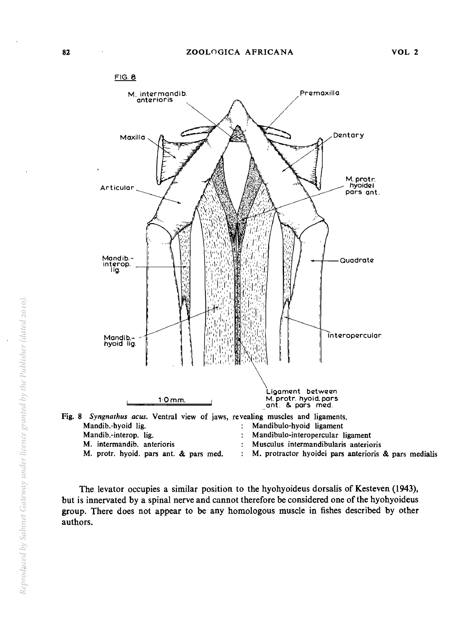$FIG. 8$ 

M. intermandib. anterioris

M. protr. hyoid. pars ant. & pars med.



The levator occupies a similar position to the hyohyoideus dorsalis of Kesteven (1943), but is innervated by a spinal nerve and cannot therefore be considered one of the hyohyoideus group. There does not appear to be any homologous muscle in fishes described by other authors.

 $\ddot{\phantom{a}}$  $\ddot{\Sigma}$  Musculus intermandibularis anterioris

M. protractor hyoidei pars anterioris & pars medialis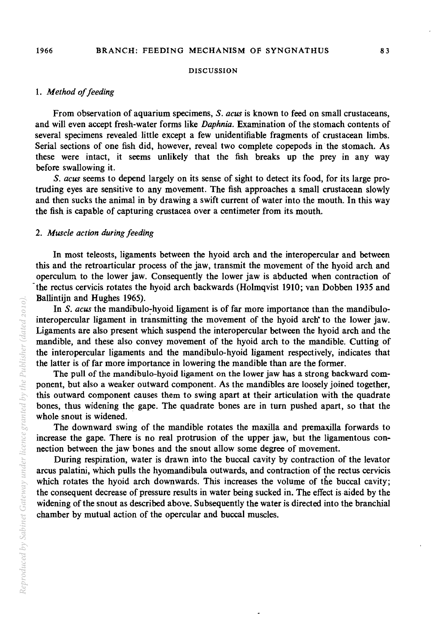#### DISCUSSION

## 1. *Method of feeding*

From observation of aquarium specimens, *S. acus* is known to feed on small crustaceans, and will even accept fresh-water forms like *Daphnia.* Examination of the stomach contents of several specimens revealed little except a few unidentifiable fragments of crustacean limbs. Serial sections of one fish did, however, reveal two complete copepods in the stomach. As these were intact, it seems unlikely that the fish breaks up the prey in any way before swallowing it.

*S. acus* seems to depend largely on its sense of sight to detect its food, for its large protruding eyes are sensitive to any movement. The fish approaches a small crustacean slowly and then sucks the animal in by drawing a swift current of water into the mouth. In this way the fish is capable of capturing crustacea over a centimeter from its mouth.

# *2. Muscle action during feeding*

In most teleosts, ligaments between the hyoid arch and the interopercular and between this and the retroarticular process of the jaw, transmit the movement of the hyoid arch and operculum to the lower jaw. Consequently the lower jaw is abducted when contraction of 'the rectus cervicis rotates the hyoid arch backwards (Holmqvist 1910; van Dobben 1935 and Ballintijn and Hughes 1965).

In *S. acus* the mandibulo-hyoid ligament is of far more importance than the mandibulointer opercular ligament in transmitting the movement of the hyoid arch'to the lower jaw. Ligaments are also present which suspend the interopercular between the hyoid arch and the mandible, and these also convey movement of the hyoid arch to the mandible. Cutting of the interopercular ligaments and the mandibulo-hyoid ligament respectively, indicates that the latter is of far more importance in lowering the mandible than are the former.

The pull of the mandibulo-hyoid ligament on the lower jaw has a strong backward component, but also a weaker outward component. As the mandibles are loosely joined together, this outward component causes them to swing apart at their articulation with the quadrate bones, thus widening the gape. The quadrate bones are in tum pushed apart, so that the whole snout is widened.

The downward swing of the mandible rotates the maxilla and premaxilla forwards to increase the gape. There is no real protrusion of the upper jaw, but the ligamentous connection between the jaw bones and the snout allow some degree of movement.

During respiration, water is drawn into the buccal cavity by contraction of the levator arcus palatini, which pulls the hyomandibula outwards, and contraction of the rectus cervicis which rotates the hyoid arch downwards. This increases the volume of the buccal cavity; the consequent decrease of pressure results in water being sucked in. The effect is aided by the widening of the snout as described above. Subsequently the water is directed into the branchial chamber by mutual action of the opercular and buccal muscles.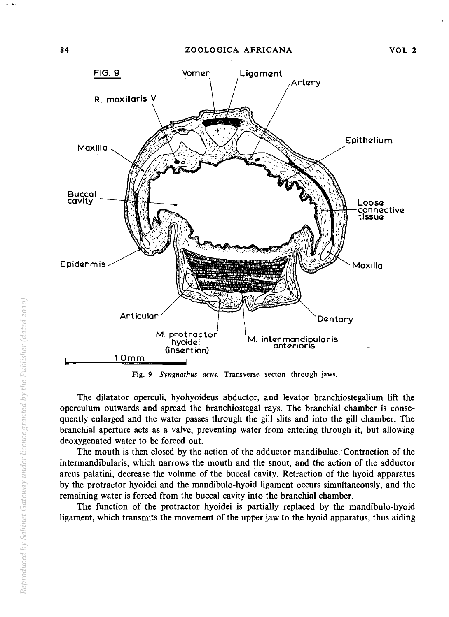

Fig. 9 *Syngnathus acus.* Transverse seeton through jaws.

The dilatator operculi, hyohyoideus abductor, and levator branchiostegalium lift the operculum outwards and spread the branchiostegal rays. The branchial chamber is consequently enlarged and the water passes through the gill slits and into the gill chamber. The branchial aperture acts as a valve, preventing water from entering through it, but allowing deoxygenated water to be forced out.

The mouth is then closed by the action of the adductor mandibulae. 'Contraction of the intermandibularis, which narrows the mouth and the snout, and the action of the adductor arcus palatini, decrease the volume of the buccal cavity. Retraction of the hyoid apparatus by the protractor hyoidei and the mandibulo-hyoid ligament occurs simultaneously, and the remaining water is forced from the buccal cavity into the branchial chamber.

The function of the protractor hyoidei is partially replaced by the mandibulo-hyoid ligament, which transmits the movement of the upper jaw to the hyoid apparatus, thus aiding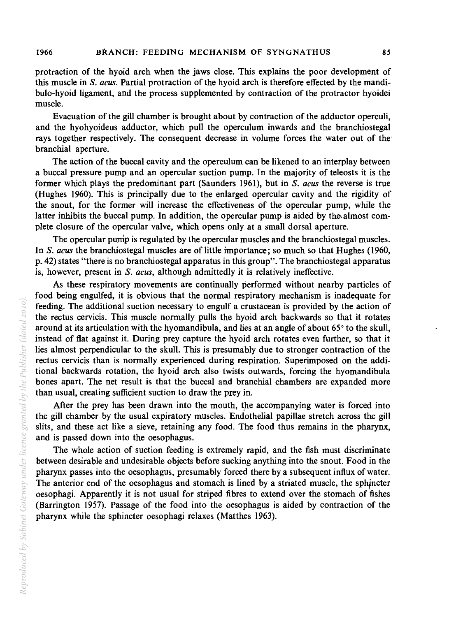protraction of the hyoid arch when the jaws close. This explains the poor development of this muscle in S. *acus.* Partial protraction of the hyoid arch is therefore effected by the mandibulo-hyoid ligament, and the process supplemented by contraction of the protractor hyoidei muscle.

Evacuation of the gill chamber is brought about by contraction of the adductor operculi, and the hyohyoideus adductor, which pull the operculum inwards and the branchiostegal rays together respectively. The consequent decrease in volume forces the water out of the branchial aperture.

The action of the buccal cavity and the operculum can be likened to an interplay between a buccal pressure pump and an opercular suction pump. In the majority of teleosts it is the former which plays the predominant part (Saunders 1961), but in S. *acus* the reverse is true (Hughes 1960). This is principally due to the enlarged opercular cavity and the rigidity of the snout, for the former will increase the effectiveness of the opercular pump, while the latter inhibits the buccal pump. In addition, the opercular pump is aided by the-almost complete closure of the opercular valve, which opens only at a small dorsal aperture.

The opercular punip is regulated by the opercular muscles and the branchiostegal muscles. In S. *acus* the branchiostegal muscles are of little importance; so much so that Hughes (1960, p. 42) states "there is no branchiostegal apparatus in this group". The branchiostegal apparatus is, however, present in S. *acus,* although admittedly it is relatively ineffective.

As these respiratory movements are continually performed without nearby particles of food being engulfed, it is obvious that the normal respiratory mechanism is inadequate for feeding. The additional suction necessary to engulf a crustacean is provided by the action of the rectus cervicis. This muscle normally pulls the hyoid arch backwards so that it rotates around at its articulation with the hyomandibula, and lies at an angle of about  $65^{\circ}$  to the skull, instead of flat against it. During prey capture the hyoid arch rotates even further, so that it lies almost perpendicular to the skull. This is presumably due to stronger contraction of the rectus cervicis than is normally experienced during respiration. Superimposed on the additional backwards rotation, the hyoid arch also twists outwards, forcing the hyomandibula bones apart. The net result is that the buccal and branchial chambers are expanded more than usual, creating sufficient suction to draw the prey in.

After the prey has been drawn into the mouth, the accompanying water is forced into the gill chamber by the usual expiratory muscles. Endothelial papillae stretch across the gill slits, and these act like a sieve, retaining any food. The food thus remains in the pharynx, and is passed down into the oesophagus.

The whole action of suction feeding is extremely rapid, and the fish must discriminate between desirable and undesirable objects before sucking anything into the snout. Food in the pharynx passes into the oesophagus, presumably forced there by a subsequent influx of water. The anterior end of the oesophagus and stomach is lined by a striated muscle, the sphincter oesophagi. Apparently it is not usual for striped fibres to extend over the stomach of fishes (Barrington 1957). Passage of the food into the oesophagus is aided by contraction of the pharynx while the sphincter oesophagi relaxes (Matthes 1963).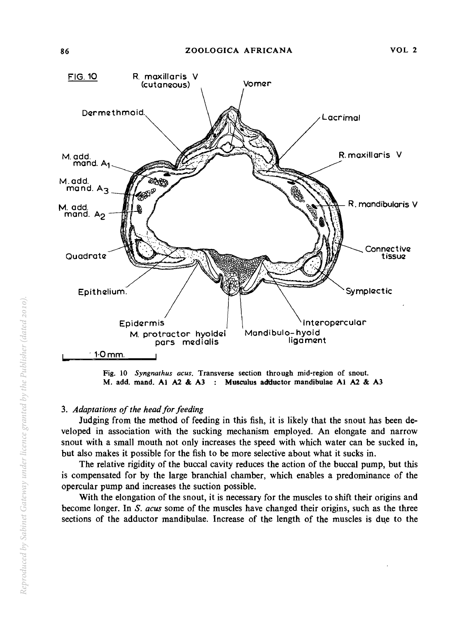

Fig. 10 *Syngnathus acus.* Transverse section through mid-region of snout. M. add. mand. Al A2 & A3 : Musculus adductor mandibulae Al A2 & A3

# *3. Adaptations of the head for feeding*

Judging from the method of feeding in this fish, it is likely that the snout has been developed in association with the sucking mechanism employed. An elongate and narrow snout with a small mouth not only increases the speed with which water can be sucked in, but also makes it possible for the fish to be more selective about what it sucks in.

The relative rigidity of the buccal cavity reduces the action of the buccal pump, but this is compensated for by the large branchial chamber, which enables a predominance of the opercular pump and increases the suction possible.

With the elongation of the snout, it is necessary for the muscles to shift their origins and become longer. In S. *acus* some of the muscles have changed their origins, such as the three sections of the adductor mandibulae. Increase of the length of the muscles is due to the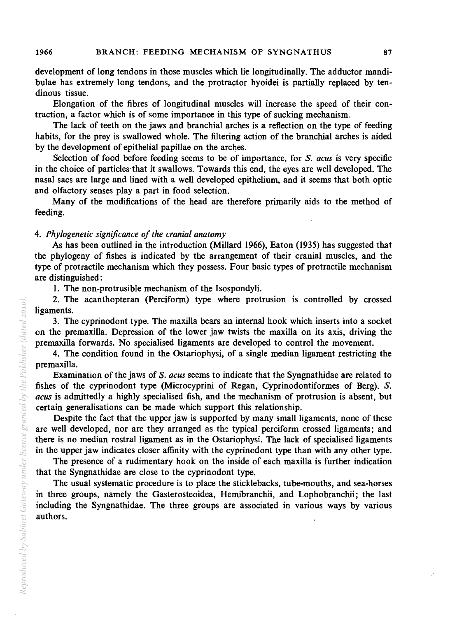development of long tendons in those muscles which lie longitudinally. The adductor mandibulae has extremely long tendons, and the protractor hyoidei is partially replaced by tendinous tissue.

Elongation of the fibres of longitudinal muscles will increase the speed of their contraction, a factor which is of some importance in this type of sucking mechanism.

The lack of teeth on the jaws and branchial arches is a reflection on the type of feeding habits, for the prey is swallowed whole. The filtering action of the branchial arches is aided by the development of epithelial papillae on the arches.

Selection of food before feeding seems to be of importance, for S. *acus* is very specific in the choice of particles'that it swallows. Towards this end, the eyes are well developed. The nasal sacs are large and lined with a well developed epithelium, and it seems that both optic and olfactory senses play a part in food selection.

Many of the modifications of the head are therefore primarily aids to the method of feeding.

# *4. Phylogenetic significance of the cranial anatomy*

As has been outlined in the introduction (Millard 1966), Eaton (1935) has suggested that the phylogeny of fishes is indicated by the arrangement of their cranial muscles, and the type of protractile mechanism which they possess. Four basic types of protractile mechanism are distinguished:

1. The non-protrusible mechanism of the lsospondyli.

2. The acanthopteran (Perciform) type where protrusion is controlled by crossed ligaments.

3. The cyprinodont type. The maxilla bears an internal hook which inserts into a socket on the premaxilla. Depression of the lower jaw twists the maxilla on its axis, driving the premaxilla forwards. No specialised ligaments are developed to control the movement.

4. The condition found in the Ostariophysi, of a single median ligament restricting the premaxilla.

Examination of the jaws of S. *acus* seems to indicate that the Syngnathidae are related to fishes of the cyprinodont type (Microcyprini of Regan, Cyprinodontiformes of Berg). S. *acus* is admittedly a highly specialised fish, and the mechanism of protrusion is absent, but certain generalisations can be made which support this relationship.

Despite the fact that the upper jaw is supported by many small ligaments, none of these are well developed, nor are they arranged as the typical perciform crossed ligaments; and there is no median rostral ligament as in the Ostariophysi. The lack of specialised ligaments in the upper jaw indicates closer affinity with the cyprinodont type than with any other type.

The presence of a rudimentary hook on the inside of each maxilla is further indication that the Syngnathidae are close to the cyprinodont type.

The usual systematic procedure is to place the sticklebacks, tube-mouths, and sea-horses in three groups, namely the Gasterosteoidea, Hemibranchii, and Lophobranchii; the last including the Syngnathidae. The three groups are associated in various ways by various authors.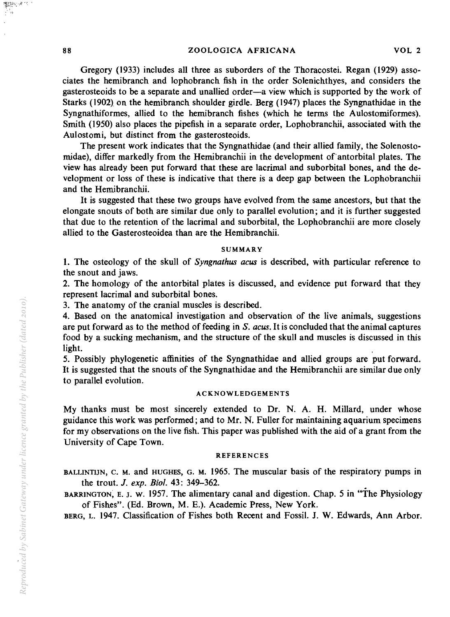Gregory (1933) includes all three as suborders of the Thoracostei. Regan (1929) associates the hemibranch and lophobranch fish in the order Solenichthyes, and considers the gasterosteoids to be a separate and unallied order-a view which is supported by the work of Starks (1902) on the hemibranch shoulder girdle. Berg (1947) places the Syngnathidae in the Syngnathiformes, allied to the hemibranch fishes (which he terms the Aulostomiformes). Smith (1950) also places the pipefish in a separate order, Lophobranchii, associated with the Aulostomi, but distinct from the gasterosteoids.

The present work indicates that the Syngnathidae (and their allied family, the Solenostornidae), differ markedly from the Hemibranchii in the development of'antorbital plates. The view has already been put forward that these are lacrimal and suborbital bones, and the development or loss of these is indicative that there is a deep gap between the Lophobranchii and the Hemibranchii.

It is suggested that these two groups have evolved from the same ancestors, but that the elongate snouts of both are similar due only to parallel evolution; and it is further suggested that due to the retention of the lacrimal and suborbital, the Lophobranchii are more closely allied to the Gasterosteoidea than are the Hemibranchii.

## SUMMARY

1. The osteology of the skull of *Syngnathus acus* is described, with particular reference to the snout and jaws.

2. The homology of the antorbital plates is discussed, and evidence put forward that they represent lacrimal and suborbital bones.

3. The anatomy of the cranial muscles is described.

4. Based on the anatomical investigation and observation of the live animals, suggestions are put forward as to the method of feeding in S. *acus.1t* is concluded that the animal captures food by a sucking mechanism, and the structure of the skull and muscles is discussed in this **light.** The contract of the contract of the contract of the contract of the contract of the contract of the contract of the contract of the contract of the contract of the contract of the contract of the contract of the c

5. Possibly phylogenetic affinities of the Syngnathidae and allied groups are put forward. It is suggested that the snouts of the Syngnathidae and the Hemibranchii are similar due only to parallel evolution.

### ACKNOWLEDGEMENTS

My thanks must be most sincerely extended to Dr. N. A. H. Millard, under whose guidance this work was performed; and to Mr. N. Fuller for maintaining aquarium specimens for my observations on the live fish. This paper was published with the aid of a grant from the University of Cape Town.

### **REFERENCES**

BALLINTIJN, c. M. and HUGHES, G. M. 1965. The muscular basis of the respiratory pumps in the trout. *J. exp. Biol.* 43: 349-362.

BARRINGTON; E. J. w. 1957. The alimentary canal and digestion. Chap. 5 in "The Physiology of Fishes". (Ed. Brown, M. E.). Academic Press, New York.

BERG, L. 1947. Classification of Fishes both Recent and Fossil. J. W. Edwards, Ann Arbor.